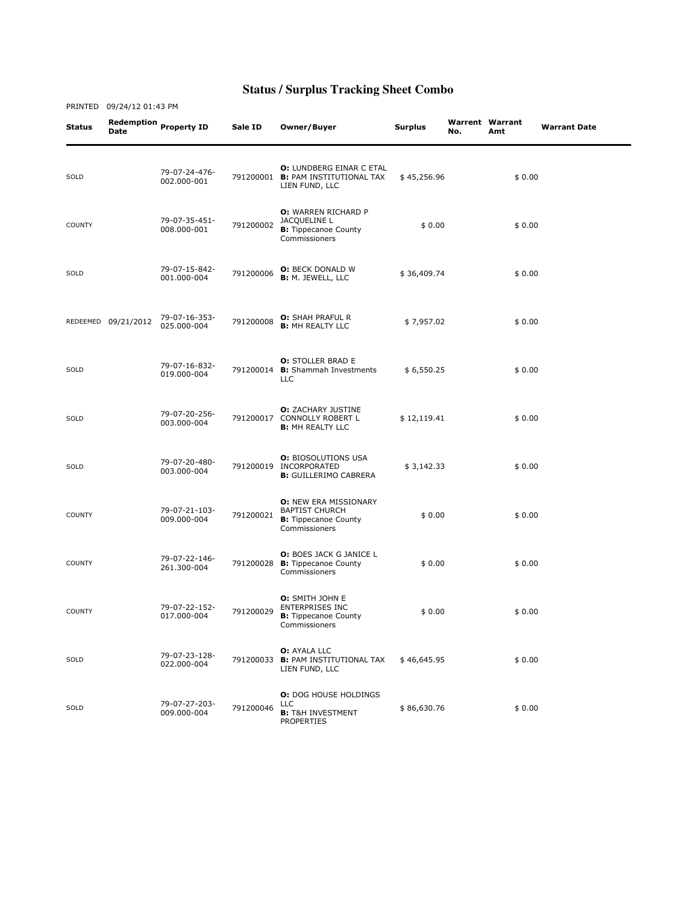| Status        | Redemption<br><b>Date</b> | <b>Property ID</b>           | Sale ID   | Owner/Buyer                                                                                           | <b>Surplus</b> | No. | <b>Warrent Warrant</b><br>Amt | <b>Warrant Date</b> |
|---------------|---------------------------|------------------------------|-----------|-------------------------------------------------------------------------------------------------------|----------------|-----|-------------------------------|---------------------|
| SOLD          |                           | 79-07-24-476-<br>002.000-001 |           | <b>O: LUNDBERG EINAR C ETAL</b><br>791200001 B: PAM INSTITUTIONAL TAX<br>LIEN FUND, LLC               | \$45,256.96    |     | \$0.00                        |                     |
| <b>COUNTY</b> |                           | 79-07-35-451-<br>008.000-001 | 791200002 | <b>O:</b> WARREN RICHARD P<br>JACQUELINE L<br><b>B:</b> Tippecanoe County<br>Commissioners            | \$0.00         |     | \$0.00                        |                     |
| SOLD          |                           | 79-07-15-842-<br>001.000-004 | 791200006 | <b>O:</b> BECK DONALD W<br><b>B: M. JEWELL, LLC</b>                                                   | \$36,409.74    |     | \$0.00                        |                     |
|               | REDEEMED 09/21/2012       | 79-07-16-353-<br>025.000-004 | 791200008 | <b>O:</b> SHAH PRAFUL R<br><b>B: MH REALTY LLC</b>                                                    | \$7,957.02     |     | \$0.00                        |                     |
| SOLD          |                           | 79-07-16-832-<br>019.000-004 | 791200014 | <b>O: STOLLER BRAD E</b><br><b>B:</b> Shammah Investments<br>LLC                                      | \$6,550.25     |     | \$0.00                        |                     |
| SOLD          |                           | 79-07-20-256-<br>003.000-004 |           | <b>O:</b> ZACHARY JUSTINE<br>791200017 CONNOLLY ROBERT L<br><b>B:</b> MH REALTY LLC                   | \$12,119.41    |     | \$0.00                        |                     |
| SOLD          |                           | 79-07-20-480-<br>003.000-004 |           | <b>O: BIOSOLUTIONS USA</b><br>791200019 INCORPORATED<br><b>B:</b> GUILLERIMO CABRERA                  | \$3,142.33     |     | \$0.00                        |                     |
| <b>COUNTY</b> |                           | 79-07-21-103-<br>009.000-004 | 791200021 | <b>O: NEW ERA MISSIONARY</b><br><b>BAPTIST CHURCH</b><br><b>B:</b> Tippecanoe County<br>Commissioners | \$0.00         |     | \$0.00                        |                     |
| <b>COUNTY</b> |                           | 79-07-22-146-<br>261.300-004 | 791200028 | O: BOES JACK G JANICE L<br><b>B:</b> Tippecanoe County<br>Commissioners                               | \$0.00         |     | \$0.00                        |                     |
| <b>COUNTY</b> |                           | 79-07-22-152-<br>017.000-004 | 791200029 | O: SMITH JOHN E<br><b>ENTERPRISES INC</b><br><b>B:</b> Tippecanoe County<br>Commissioners             | \$0.00         |     | \$0.00                        |                     |
| SOLD          |                           | 79-07-23-128-<br>022.000-004 |           | <b>O: AYALA LLC</b><br>791200033 B: PAM INSTITUTIONAL TAX<br>LIEN FUND, LLC                           | \$46,645.95    |     | \$0.00                        |                     |
| SOLD          |                           | 79-07-27-203-<br>009.000-004 | 791200046 | <b>O:</b> DOG HOUSE HOLDINGS<br><b>LLC</b><br><b>B:</b> T&H INVESTMENT<br><b>PROPERTIES</b>           | \$86,630.76    |     | \$0.00                        |                     |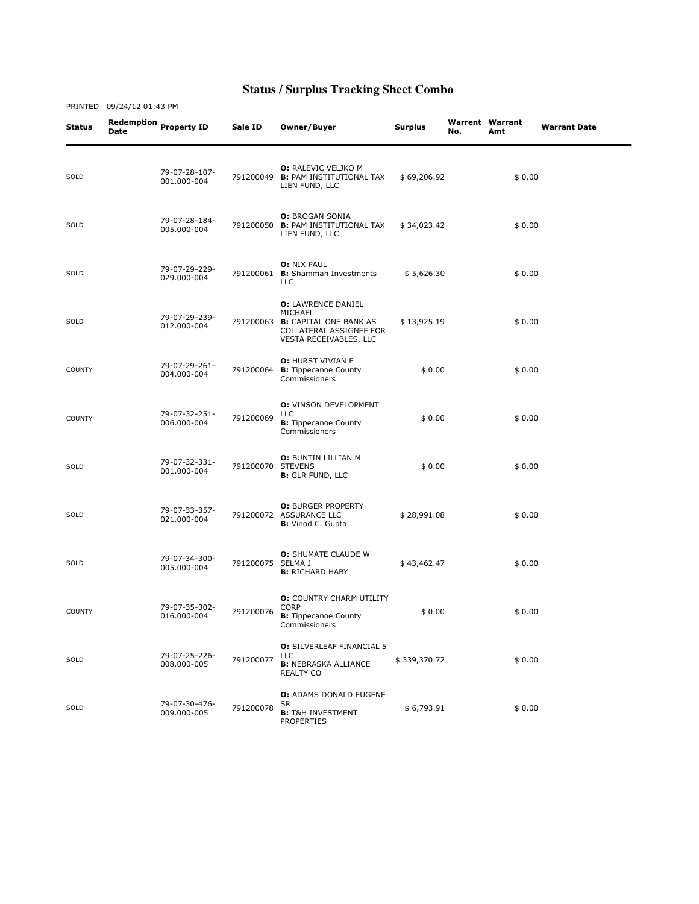| Status        | <b>Date</b> | Redemption Property ID       | Sale ID           | Owner/Buyer                                                                                                                   | <b>Surplus</b> | <b>Warrent Warrant</b><br>No. | Amt    | <b>Warrant Date</b> |
|---------------|-------------|------------------------------|-------------------|-------------------------------------------------------------------------------------------------------------------------------|----------------|-------------------------------|--------|---------------------|
| SOLD          |             | 79-07-28-107-<br>001.000-004 | 791200049         | <b>O: RALEVIC VELJKO M</b><br><b>B: PAM INSTITUTIONAL TAX</b><br>LIEN FUND, LLC                                               | \$69,206.92    |                               | \$0.00 |                     |
| SOLD          |             | 79-07-28-184-<br>005.000-004 | 791200050         | <b>O: BROGAN SONIA</b><br><b>B:</b> PAM INSTITUTIONAL TAX<br>LIEN FUND, LLC                                                   | \$34,023.42    |                               | \$0.00 |                     |
| SOLD          |             | 79-07-29-229-<br>029.000-004 |                   | <b>O: NIX PAUL</b><br>791200061 B: Shammah Investments<br><b>LLC</b>                                                          | \$5,626.30     |                               | \$0.00 |                     |
| SOLD          |             | 79-07-29-239-<br>012.000-004 |                   | <b>O: LAWRENCE DANIEL</b><br>MICHAEL<br>791200063 B: CAPITAL ONE BANK AS<br>COLLATERAL ASSIGNEE FOR<br>VESTA RECEIVABLES, LLC | \$13,925.19    |                               | \$0.00 |                     |
| <b>COUNTY</b> |             | 79-07-29-261-<br>004.000-004 | 791200064         | O: HURST VIVIAN E<br><b>B:</b> Tippecanoe County<br>Commissioners                                                             | \$0.00         |                               | \$0.00 |                     |
| <b>COUNTY</b> |             | 79-07-32-251-<br>006.000-004 | 791200069         | <b>O:</b> VINSON DEVELOPMENT<br>LLC<br><b>B:</b> Tippecanoe County<br>Commissioners                                           | \$0.00         |                               | \$0.00 |                     |
| SOLD          |             | 79-07-32-331-<br>001.000-004 | 791200070 STEVENS | <b>O: BUNTIN LILLIAN M</b><br><b>B:</b> GLR FUND, LLC                                                                         | \$0.00         |                               | \$0.00 |                     |
| SOLD          |             | 79-07-33-357-<br>021.000-004 |                   | <b>O: BURGER PROPERTY</b><br>791200072 ASSURANCE LLC<br><b>B:</b> Vinod C. Gupta                                              | \$28,991.08    |                               | \$0.00 |                     |
| SOLD          |             | 79-07-34-300-<br>005.000-004 | 791200075 SELMA J | O: SHUMATE CLAUDE W<br><b>B:</b> RICHARD HABY                                                                                 | \$43,462.47    |                               | \$0.00 |                     |
| <b>COUNTY</b> |             | 79-07-35-302-<br>016.000-004 | 791200076         | O: COUNTRY CHARM UTILITY<br><b>CORP</b><br><b>B:</b> Tippecanoe County<br>Commissioners                                       | \$0.00         |                               | \$0.00 |                     |
| SOLD          |             | 79-07-25-226-<br>008.000-005 | 791200077         | <b>O:</b> SILVERLEAF FINANCIAL 5<br><b>LLC</b><br><b>B: NEBRASKA ALLIANCE</b><br>REALTY CO                                    | \$339,370.72   |                               | \$0.00 |                     |
| SOLD          |             | 79-07-30-476-<br>009.000-005 | 791200078         | O: ADAMS DONALD EUGENE<br>SR<br><b>B:</b> T&H INVESTMENT<br><b>PROPERTIES</b>                                                 | \$6,793.91     |                               | \$0.00 |                     |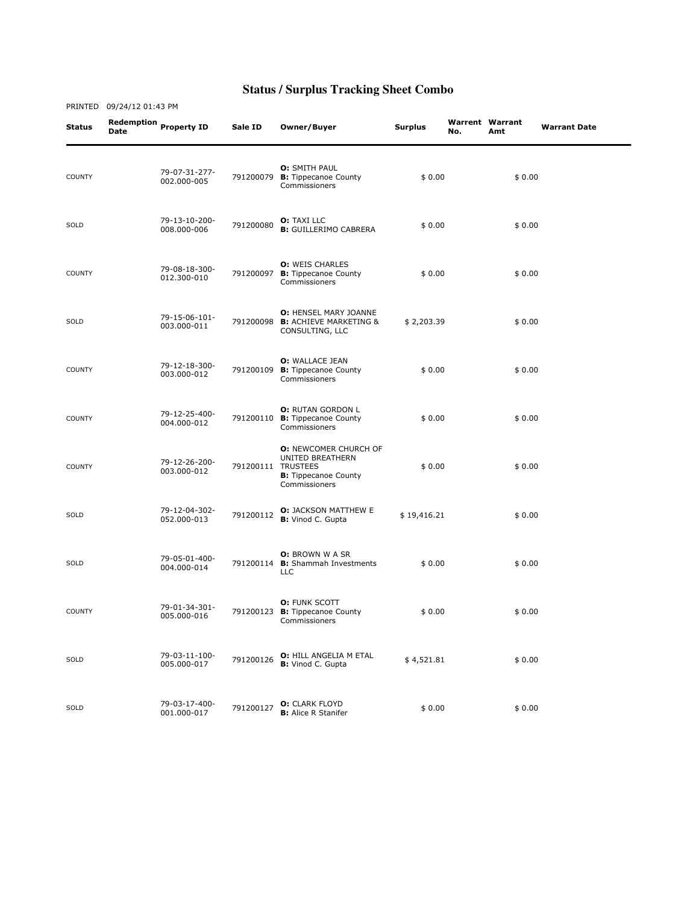| Status        | Date | Redemption Property ID       | Sale ID   | Owner/Buyer                                                                                                            | <b>Surplus</b> | No. | <b>Warrent Warrant</b><br>Amt | <b>Warrant Date</b> |
|---------------|------|------------------------------|-----------|------------------------------------------------------------------------------------------------------------------------|----------------|-----|-------------------------------|---------------------|
| <b>COUNTY</b> |      | 79-07-31-277-<br>002.000-005 | 791200079 | <b>O: SMITH PAUL</b><br><b>B:</b> Tippecanoe County<br>Commissioners                                                   | \$0.00         |     | \$0.00                        |                     |
| SOLD          |      | 79-13-10-200-<br>008.000-006 | 791200080 | <b>O:</b> TAXI LLC<br><b>B:</b> GUILLERIMO CABRERA                                                                     | \$0.00         |     | \$0.00                        |                     |
| <b>COUNTY</b> |      | 79-08-18-300-<br>012.300-010 | 791200097 | <b>O: WEIS CHARLES</b><br><b>B:</b> Tippecanoe County<br>Commissioners                                                 | \$0.00         |     | \$0.00                        |                     |
| SOLD          |      | 79-15-06-101-<br>003.000-011 | 791200098 | O: HENSEL MARY JOANNE<br><b>B:</b> ACHIEVE MARKETING &<br>CONSULTING, LLC                                              | \$2,203.39     |     | \$0.00                        |                     |
| <b>COUNTY</b> |      | 79-12-18-300-<br>003.000-012 | 791200109 | <b>O:</b> WALLACE JEAN<br><b>B:</b> Tippecanoe County<br>Commissioners                                                 | \$0.00         |     | \$0.00                        |                     |
| <b>COUNTY</b> |      | 79-12-25-400-<br>004.000-012 | 791200110 | O: RUTAN GORDON L<br><b>B:</b> Tippecanoe County<br>Commissioners                                                      | \$0.00         |     | \$0.00                        |                     |
| <b>COUNTY</b> |      | 79-12-26-200-<br>003.000-012 |           | <b>O: NEWCOMER CHURCH OF</b><br>UNITED BREATHERN<br>791200111 TRUSTEES<br><b>B:</b> Tippecanoe County<br>Commissioners | \$0.00         |     | \$0.00                        |                     |
| SOLD          |      | 79-12-04-302-<br>052.000-013 | 791200112 | <b>O:</b> JACKSON MATTHEW E<br>B: Vinod C. Gupta                                                                       | \$19,416.21    |     | \$0.00                        |                     |
| SOLD          |      | 79-05-01-400-<br>004.000-014 | 791200114 | <b>O:</b> BROWN W A SR<br><b>B:</b> Shammah Investments<br><b>LLC</b>                                                  | \$0.00         |     | \$0.00                        |                     |
| <b>COUNTY</b> |      | 79-01-34-301-<br>005.000-016 | 791200123 | O: FUNK SCOTT<br><b>B:</b> Tippecanoe County<br>Commissioners                                                          | \$0.00         |     | \$0.00                        |                     |
| SOLD          |      | 79-03-11-100-<br>005.000-017 | 791200126 | <b>O: HILL ANGELIA M ETAL</b><br><b>B:</b> Vinod C. Gupta                                                              | \$4,521.81     |     | \$0.00                        |                     |
| SOLD          |      | 79-03-17-400-<br>001.000-017 | 791200127 | <b>O:</b> CLARK FLOYD<br><b>B:</b> Alice R Stanifer                                                                    | \$0.00         |     | \$0.00                        |                     |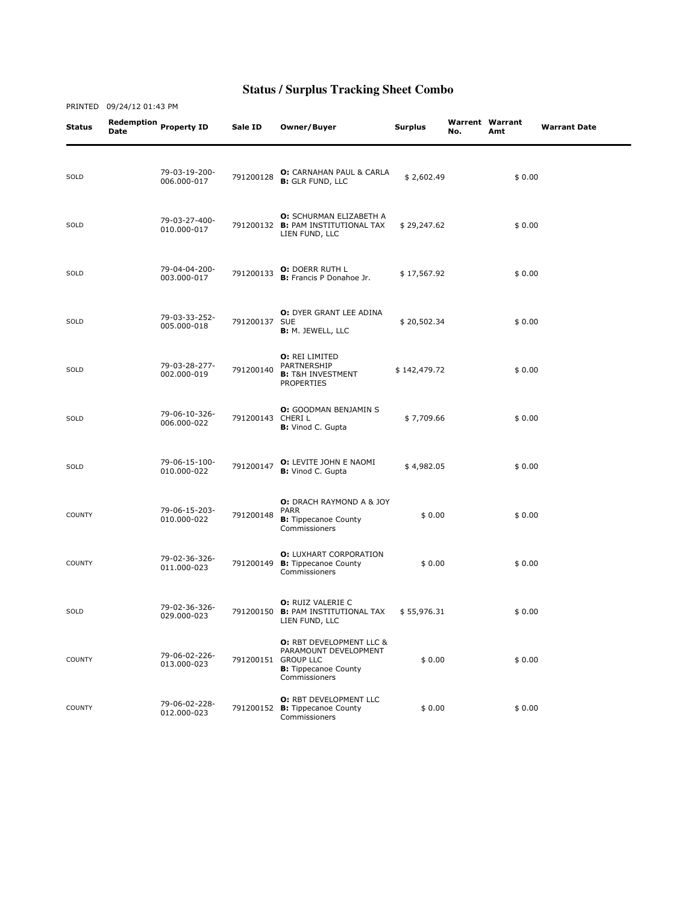|               | PRINTED 09/24/12 01:43 PM |                              |                  |                                                                                                                                     |                |     |                               |                     |  |
|---------------|---------------------------|------------------------------|------------------|-------------------------------------------------------------------------------------------------------------------------------------|----------------|-----|-------------------------------|---------------------|--|
| Status        | Date                      | Redemption Property ID       | Sale ID          | Owner/Buyer                                                                                                                         | <b>Surplus</b> | No. | <b>Warrent Warrant</b><br>Amt | <b>Warrant Date</b> |  |
| SOLD          |                           | 79-03-19-200-<br>006.000-017 | 791200128        | O: CARNAHAN PAUL & CARLA<br><b>B:</b> GLR FUND, LLC                                                                                 | \$2,602.49     |     | \$0.00                        |                     |  |
| SOLD          |                           | 79-03-27-400-<br>010.000-017 |                  | <b>O:</b> SCHURMAN ELIZABETH A<br>791200132 B: PAM INSTITUTIONAL TAX<br>LIEN FUND, LLC                                              | \$29,247.62    |     | \$0.00                        |                     |  |
| SOLD          |                           | 79-04-04-200-<br>003.000-017 | 791200133        | O: DOERR RUTH L<br><b>B:</b> Francis P Donahoe Jr.                                                                                  | \$17,567.92    |     | \$0.00                        |                     |  |
| SOLD          |                           | 79-03-33-252-<br>005.000-018 | 791200137 SUE    | <b>O:</b> DYER GRANT LEE ADINA<br><b>B:</b> M. JEWELL, LLC                                                                          | \$20,502.34    |     | \$0.00                        |                     |  |
| SOLD          |                           | 79-03-28-277-<br>002.000-019 | 791200140        | <b>O: REI LIMITED</b><br>PARTNERSHIP<br><b>B:</b> T&H INVESTMENT<br><b>PROPERTIES</b>                                               | \$142,479.72   |     | \$0.00                        |                     |  |
| SOLD          |                           | 79-06-10-326-<br>006.000-022 | 791200143 CHERIL | <b>O:</b> GOODMAN BENJAMIN S<br><b>B:</b> Vinod C. Gupta                                                                            | \$7,709.66     |     | \$0.00                        |                     |  |
| SOLD          |                           | 79-06-15-100-<br>010.000-022 | 791200147        | <b>O:</b> LEVITE JOHN E NAOMI<br><b>B:</b> Vinod C. Gupta                                                                           | \$4,982.05     |     | \$0.00                        |                     |  |
| <b>COUNTY</b> |                           | 79-06-15-203-<br>010.000-022 | 791200148        | <b>O:</b> DRACH RAYMOND A & JOY<br>PARR<br><b>B:</b> Tippecanoe County<br>Commissioners                                             | \$0.00         |     | \$0.00                        |                     |  |
| <b>COUNTY</b> |                           | 79-02-36-326-<br>011.000-023 |                  | <b>O: LUXHART CORPORATION</b><br>791200149 B: Tippecanoe County<br>Commissioners                                                    | \$0.00         |     | \$0.00                        |                     |  |
| SOLD          |                           | 79-02-36-326-<br>029.000-023 |                  | <b>O:</b> RUIZ VALERIE C<br>791200150 B: PAM INSTITUTIONAL TAX<br>LIEN FUND, LLC                                                    | \$55,976.31    |     | \$0.00                        |                     |  |
| <b>COUNTY</b> |                           | 79-06-02-226-<br>013.000-023 |                  | <b>O: RBT DEVELOPMENT LLC &amp;</b><br>PARAMOUNT DEVELOPMENT<br>791200151 GROUP LLC<br><b>B:</b> Tippecanoe County<br>Commissioners | \$0.00         |     | \$0.00                        |                     |  |
| <b>COUNTY</b> |                           | 79-06-02-228-<br>012.000-023 |                  | <b>O: RBT DEVELOPMENT LLC</b><br>791200152 B: Tippecanoe County<br>Commissioners                                                    | \$0.00         |     | \$0.00                        |                     |  |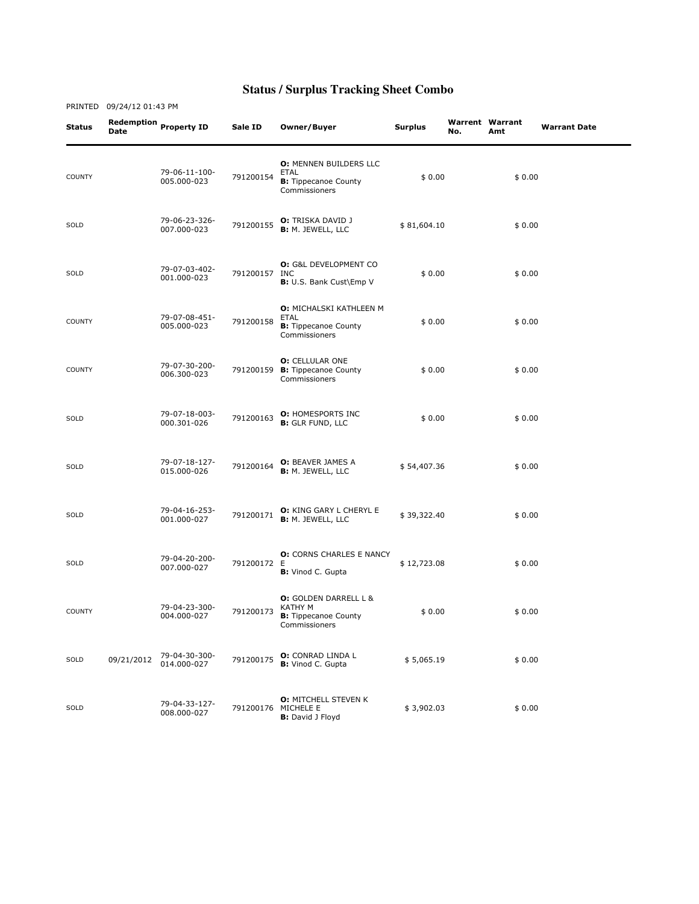| <b>Status</b> | <b>Date</b> | Redemption Property ID       | Sale ID       | Owner/Buyer                                                                                   | <b>Surplus</b> | No. | <b>Warrent Warrant</b><br>Amt | <b>Warrant Date</b> |
|---------------|-------------|------------------------------|---------------|-----------------------------------------------------------------------------------------------|----------------|-----|-------------------------------|---------------------|
| <b>COUNTY</b> |             | 79-06-11-100-<br>005.000-023 | 791200154     | O: MENNEN BUILDERS LLC<br>ETAL<br><b>B:</b> Tippecanoe County<br>Commissioners                | \$0.00         |     | \$0.00                        |                     |
| SOLD          |             | 79-06-23-326-<br>007.000-023 | 791200155     | <b>O:</b> TRISKA DAVID J<br><b>B: M. JEWELL, LLC</b>                                          | \$81,604.10    |     | \$0.00                        |                     |
| SOLD          |             | 79-07-03-402-<br>001.000-023 | 791200157 INC | <b>O:</b> G&L DEVELOPMENT CO<br>B: U.S. Bank Cust\Emp V                                       | \$0.00         |     | \$0.00                        |                     |
| <b>COUNTY</b> |             | 79-07-08-451-<br>005.000-023 | 791200158     | <b>O: MICHALSKI KATHLEEN M</b><br><b>ETAL</b><br><b>B:</b> Tippecanoe County<br>Commissioners | \$0.00         |     | \$0.00                        |                     |
| <b>COUNTY</b> |             | 79-07-30-200-<br>006.300-023 |               | <b>O:</b> CELLULAR ONE<br>791200159 B: Tippecanoe County<br>Commissioners                     | \$0.00         |     | \$0.00                        |                     |
| SOLD          |             | 79-07-18-003-<br>000.301-026 | 791200163     | <b>O: HOMESPORTS INC</b><br><b>B:</b> GLR FUND, LLC                                           | \$0.00         |     | \$0.00                        |                     |
| SOLD          |             | 79-07-18-127-<br>015.000-026 | 791200164     | O: BEAVER JAMES A<br><b>B:</b> M. JEWELL, LLC                                                 | \$54,407.36    |     | \$0.00                        |                     |
| SOLD          |             | 79-04-16-253-<br>001.000-027 | 791200171     | O: KING GARY L CHERYL E<br>B: M. JEWELL, LLC                                                  | \$39,322.40    |     | \$0.00                        |                     |
| SOLD          |             | 79-04-20-200-<br>007.000-027 | 791200172 E   | <b>O:</b> CORNS CHARLES E NANCY<br><b>B:</b> Vinod C. Gupta                                   | \$12,723.08    |     | \$0.00                        |                     |
| <b>COUNTY</b> |             | 79-04-23-300-<br>004.000-027 | 791200173     | <b>O:</b> GOLDEN DARRELL L &<br>KATHY M<br><b>B:</b> Tippecanoe County<br>Commissioners       | \$0.00         |     | \$0.00                        |                     |
| SOLD          | 09/21/2012  | 79-04-30-300-<br>014.000-027 | 791200175     | O: CONRAD LINDA L<br><b>B:</b> Vinod C. Gupta                                                 | \$5,065.19     |     | \$0.00                        |                     |
| SOLD          |             | 79-04-33-127-<br>008.000-027 |               | <b>O: MITCHELL STEVEN K</b><br>791200176 MICHELE E<br><b>B:</b> David J Floyd                 | \$3,902.03     |     | \$0.00                        |                     |